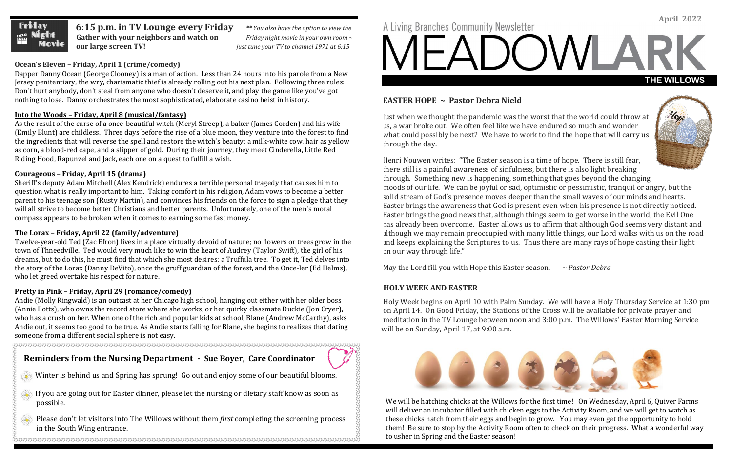**Reminders from the Nursing Department - Sue Boyer, Care Coordinator** Winter is behind us and Spring has sprung! Go out and enjoy some of our beautiful blooms. If you are going out for Easter dinner, please let the nursing or dietary staff know as soon as possible. Please don't let visitors into The Willows without them *first* completing the screening process in the South Wing entrance.

### **HOLY WEEK AND EASTER**

We will be hatching chicks at the Willows for the first time! On Wednesday, April 6, Quiver Farms will deliver an incubator filled with chicken eggs to the Activity Room, and we will get to watch as these chicks hatch from their eggs and begin to grow. You may even get the opportunity to hold them! Be sure to stop by the Activity Room often to check on their progress. What a wonderful way to usher in Spring and the Easter season!

Holy Week begins on April 10 with Palm Sunday. We will have a Holy Thursday Service at 1:30 pm on April 14. On Good Friday, the Stations of the Cross will be available for private prayer and meditation in the TV Lounge between noon and 3:00 p.m. The Willows' Easter Morning Service will be on Sunday, April 17, at 9:00 a.m.





 nothing to lose. Danny orchestrates the most sophisticated, elaborate casino heist in history. Dapper Danny Ocean (George Clooney) is a man of action. Less than 24 hours into his parole from a New Jersey penitentiary, the wry, charismatic thief is already rolling out his next plan. Following three rules: Don't hurt anybody, don't steal from anyone who doesn't deserve it, and play the game like you've got

#### **Into the Woods – Friday, April 8 (musical/fantasy)**

 As the result of the curse of a once-beautiful witch (Meryl Streep), a baker (James Corden) and his wife (Emily Blunt) are childless. Three days before the rise of a blue moon, they venture into the forest to find the ingredients that will reverse the spell and restore the witch's beauty: a milk-white cow, hair as yellow as corn, a blood-red cape, and a slipper of gold. During their journey, they meet Cinderella, Little Red Riding Hood, Rapunzel and Jack, each one on a quest to fulfill a wish.

**April 2022**



#### **Courageous – Friday, April 15 (drama)**

 **6:15 p.m. in TV Lounge every Friday** *\*\* You also have the option to view the* **Gather with your neighbors and watch on** *Friday night movie in your own room*  $\sim$  *–* **our large screen TV!** *just tune your TV to channel 1971 at 6:15* 

### **Ocean's Eleven – Friday, April 1 (crime/comedy)**

 Sheriff's deputy Adam Mitchell (Alex Kendrick) endures a terrible personal tragedy that causes him to question what is really important to him. Taking comfort in his religion, Adam vows to become a better parent to his teenage son (Rusty Martin), and convinces his friends on the force to sign a pledge that they will all strive to become better Christians and better parents. Unfortunately, one of the men's moral compass appears to be broken when it comes to earning some fast money.

#### $\overline{\mathbf{r}}$ **The Lorax – Friday, April 22 (family/adventure)**

# **Pretty in Pink – Friday, April 29 (romance/comedy)**

 Andie (Molly Ringwald) is an outcast at her Chicago high school, hanging out either with her older boss (Annie Potts), who owns the record store where she works, or her quirky classmate Duckie (Jon Cryer), who has a crush on her. When one of the rich and popular kids at school, Blane (Andrew McCarthy), asks Andie out, it seems too good to be true. As Andie starts falling for Blane, she begins to realizes that dating someone from a different social sphere is not easy.

Twelve-year-old Ted (Zac Efron) lives in a place virtually devoid of nature; no flowers or trees grow in the town of Thneedville. Ted would very much like to win the heart of Audrey (Taylor Swift), the girl of his dreams, but to do this, he must find that which she most desires: a Truffula tree. To get it, Ted delves into the story of the Lorax (Danny DeVito), once the gruff guardian of the forest, and the Once-ler (Ed Helms), who let greed overtake his respect for nature.



## **EASTER HOPE ~ Pastor Debra Nield**

Just when we thought the pandemic was the worst that the world could throw at us, a war broke out. We often feel like we have endured so much and wonder what could possibly be next? We have to work to find the hope that will carry us through the day.

Henri Nouwen writes: "The Easter season is a time of hope. There is still fear, there still is a painful awareness of sinfulness, but there is also light breaking through. Something new is happening, something that goes beyond the changing moods of our life. We can be joyful or sad, optimistic or pessimistic, tranquil or angry, but the solid stream of God's presence moves deeper than the small waves of our minds and hearts. Easter brings the awareness that God is present even when his presence is not directly noticed. Easter brings the good news that, although things seem to get worse in the world, the Evil One has already been overcome. Easter allows us to affirm that although God seems very distant and although we may remain preoccupied with many little things, our Lord walks with us on the road and keeps explaining the Scriptures to us. Thus there are many rays of hope casting their light on our way through life."

May the Lord fill you with Hope this Easter season. *~ Pastor Debra*